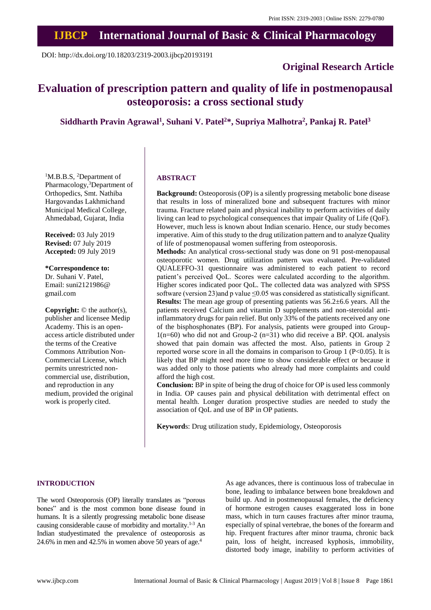# **IJBCP International Journal of Basic & Clinical Pharmacology**

DOI: http://dx.doi.org/10.18203/2319-2003.ijbcp20193191

### **Original Research Article**

## **Evaluation of prescription pattern and quality of life in postmenopausal osteoporosis: a cross sectional study**

**Siddharth Pravin Agrawal<sup>1</sup> , Suhani V. Patel<sup>2</sup>\*, Supriya Malhotra<sup>2</sup> , Pankaj R. Patel<sup>3</sup>**

<sup>1</sup>M.B.B.S, <sup>2</sup>Department of Pharmacology,<sup>3</sup>Department of Orthopedics, Smt. Nathiba Hargovandas Lakhmichand Municipal Medical College, Ahmedabad, Gujarat, India

**Received:** 03 July 2019 **Revised:** 07 July 2019 **Accepted:** 09 July 2019

**\*Correspondence to:** Dr. Suhani V. Patel, Email: suni2121986@ gmail.com

**Copyright:** © the author(s), publisher and licensee Medip Academy. This is an openaccess article distributed under the terms of the Creative Commons Attribution Non-Commercial License, which permits unrestricted noncommercial use, distribution, and reproduction in any medium, provided the original work is properly cited.

#### **ABSTRACT**

**Background:** Osteoporosis (OP) is a silently progressing metabolic bone disease that results in loss of mineralized bone and subsequent fractures with minor trauma. Fracture related pain and physical inability to perform activities of daily living can lead to psychological consequences that impair Quality of Life (QoF). However, much less is known about Indian scenario. Hence, our study becomes imperative. Aim of this study to the drug utilization pattern and to analyze Quality of life of postmenopausal women suffering from osteoporosis.

**Methods:** An analytical cross-sectional study was done on 91 post-menopausal osteoporotic women. Drug utilization pattern was evaluated. Pre-validated QUALEFFO-31 questionnaire was administered to each patient to record patient's perceived QoL. Scores were calculated according to the algorithm. Higher scores indicated poor QoL. The collected data was analyzed with SPSS software (version 23)and p value ≤0.05 was considered as statistically significant. **Results:** The mean age group of presenting patients was 56.2±6.6 years. All the patients received Calcium and vitamin D supplements and non-steroidal antiinflammatory drugs for pain relief. But only 33% of the patients received any one of the bisphosphonates (BP). For analysis, patients were grouped into Group- $1(n=60)$  who did not and Group-2  $(n=31)$  who did receive a BP. QOL analysis showed that pain domain was affected the most. Also, patients in Group 2 reported worse score in all the domains in comparison to Group 1 (P<0.05). It is likely that BP might need more time to show considerable effect or because it was added only to those patients who already had more complaints and could afford the high cost.

**Conclusion:** BP in spite of being the drug of choice for OP is used less commonly in India. OP causes pain and physical debilitation with detrimental effect on mental health. Longer duration prospective studies are needed to study the association of QoL and use of BP in OP patients.

**Keyword**s: Drug utilization study, Epidemiology, Osteoporosis

#### **INTRODUCTION**

The word Osteoporosis (OP) literally translates as "porous bones" and is the most common bone disease found in humans. It is a silently progressing metabolic bone disease causing considerable cause of morbidity and mortality. 1-3 An Indian studyestimated the prevalence of osteoporosis as 24.6% in men and 42.5% in women above 50 years of age. 4

As age advances, there is continuous loss of trabeculae in bone, leading to imbalance between bone breakdown and build up. And in postmenopausal females, the deficiency of hormone estrogen causes exaggerated loss in bone mass, which in turn causes fractures after minor trauma, especially of spinal vertebrae, the bones of the forearm and hip. Frequent fractures after minor trauma, chronic back pain, loss of height, increased kyphosis, immobility, distorted body image, inability to perform activities of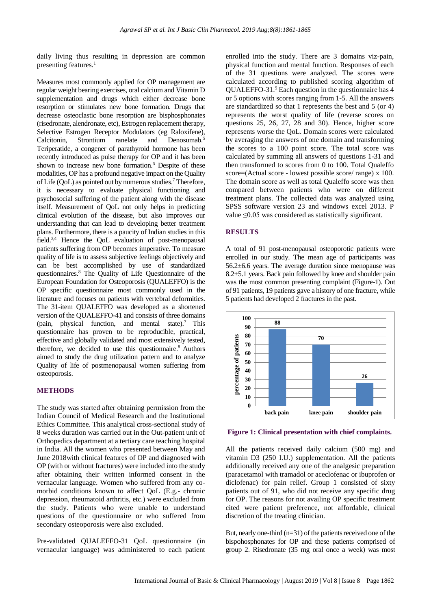daily living thus resulting in depression are common presenting features. $<sup>1</sup>$ </sup>

Measures most commonly applied for OP management are regular weight bearing exercises, oral calcium and Vitamin D supplementation and drugs which either decrease bone resorption or stimulates new bone formation. Drugs that decrease osteoclastic bone resorption are bisphosphonates (risedronate, alendronate, etc), Estrogen replacement therapy, Selective Estrogen Receptor Modulators (eg Raloxifene), Calcitonin, Strontium ranelate and Denosumab. 5 Teriperatide, a congener of parathyroid hormone has been recently introduced as pulse therapy for OP and it has been shown to increase new bone formation. <sup>6</sup> Despite of these modalities, OP has a profound negative impact on the Quality of Life (QoL) as pointed out by numerous studies.<sup>7</sup> Therefore, it is necessary to evaluate physical functioning and psychosocial suffering of the patient along with the disease itself. Measurement of QoL not only helps in predicting clinical evolution of the disease, but also improves our understanding that can lead to developing better treatment plans. Furthermore, there is a paucity of Indian studies in this field.<sup>3,4</sup> Hence the QoL evaluation of post-menopausal patients suffering from OP becomes imperative. To measure quality of life is to assess subjective feelings objectively and can be best accomplished by use of standardized questionnaires. <sup>8</sup> The Quality of Life Questionnaire of the European Foundation for Osteoporosis (QUALEFFO) is the OP specific questionnaire most commonly used in the literature and focuses on patients with vertebral deformities. The 31-item QUALEFFO was developed as a shortened version of the QUALEFFO-41 and consists of three domains (pain, physical function, and mental state). <sup>7</sup> This questionnaire has proven to be reproducible, practical, effective and globally validated and most extensively tested, therefore, we decided to use this questionnaire. <sup>8</sup> Authors aimed to study the drug utilization pattern and to analyze Quality of life of postmenopausal women suffering from osteoporosis.

#### **METHODS**

The study was started after obtaining permission from the Indian Council of Medical Research and the Institutional Ethics Committee. This analytical cross-sectional study of 8 weeks duration was carried out in the Out-patient unit of Orthopedics department at a tertiary care teaching hospital in India. All the women who presented between May and June 2018with clinical features of OP and diagnosed with OP (with or without fractures) were included into the study after obtaining their written informed consent in the vernacular language. Women who suffered from any comorbid conditions known to affect QoL (E.g.- chronic depression, rheumatoid arthritis, etc.) were excluded from the study. Patients who were unable to understand questions of the questionnaire or who suffered from secondary osteoporosis were also excluded.

Pre-validated QUALEFFO-31 QoL questionnaire (in vernacular language) was administered to each patient enrolled into the study. There are 3 domains viz-pain, physical function and mental function. Responses of each of the 31 questions were analyzed. The scores were calculated according to published scoring algorithm of QUALEFFO-31.<sup>9</sup> Each question in the questionnaire has 4 or 5 options with scores ranging from 1-5. All the answers are standardized so that 1 represents the best and 5 (or 4) represents the worst quality of life (reverse scores on questions 25, 26, 27, 28 and 30). Hence, higher score represents worse the QoL. Domain scores were calculated by averaging the answers of one domain and transforming the scores to a 100 point score. The total score was calculated by summing all answers of questions 1-31 and then transformed to scores from 0 to 100. Total Qualeffo score=(Actual score - lowest possible score/ range) x 100. The domain score as well as total Qualeffo score was then compared between patients who were on different treatment plans. The collected data was analyzed using SPSS software version 23 and windows excel 2013. P value ≤0.05 was considered as statistically significant.

#### **RESULTS**

A total of 91 post-menopausal osteoporotic patients were enrolled in our study. The mean age of participants was 56.2±6.6 years. The average duration since menopause was 8.2±5.1 years. Back pain followed by knee and shoulder pain was the most common presenting complaint (Figure-1). Out of 91 patients, 19 patients gave a history of one fracture, while 5 patients had developed 2 fractures in the past.



**Figure 1: Clinical presentation with chief complaints.**

All the patients received daily calcium (500 mg) and vitamin D3 (250 I.U.) supplementation. All the patients additionally received any one of the analgesic preparation (paracetamol with tramadol or aceclofenac or ibuprofen or diclofenac) for pain relief. Group 1 consisted of sixty patients out of 91, who did not receive any specific drug for OP. The reasons for not availing OP specific treatment cited were patient preference, not affordable, clinical discretion of the treating clinician.

But, nearly one-third  $(n=31)$  of the patients received one of the bispohosphonates for OP and these patients comprised of group 2. Risedronate (35 mg oral once a week) was most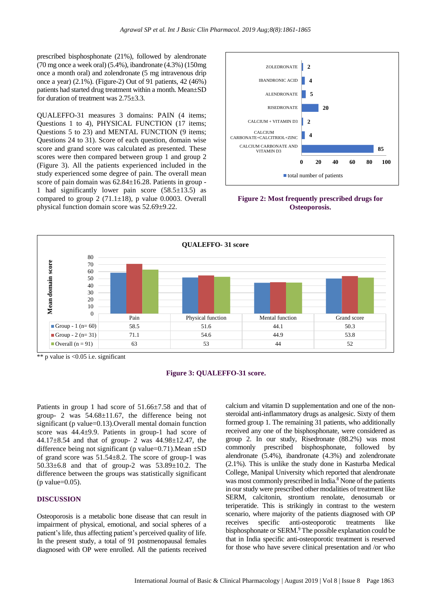prescribed bisphosphonate (21%), followed by alendronate (70 mg once a week oral) (5.4%), ibandronate (4.3%) (150mg once a month oral) and zolendronate (5 mg intravenous drip once a year) (2.1%). (Figure-2) Out of 91 patients, 42 (46%) patients had started drug treatment within a month. Mean±SD for duration of treatment was 2.75±3.3.

QUALEFFO-31 measures 3 domains: PAIN (4 items; Questions 1 to 4), PHYSICAL FUNCTION (17 items; Questions 5 to 23) and MENTAL FUNCTION (9 items; Questions 24 to 31). Score of each question, domain wise score and grand score was calculated as presented. These scores were then compared between group 1 and group 2 (Figure 3). All the patients experienced included in the study experienced some degree of pain. The overall mean score of pain domain was  $62.84 \pm 16.28$ . Patients in group -1 had significantly lower pain score (58.5±13.5) as compared to group  $2(71.1\pm18)$ , p value 0.0003. Overall physical function domain score was 52.69±9.22.



**Figure 2: Most frequently prescribed drugs for Osteoporosis.**



\*\* p value is  $\leq 0.05$  i.e. significant

#### **Figure 3: QUALEFFO-31 score.**

Patients in group 1 had score of 51.66±7.58 and that of group- 2 was 54.68±11.67, the difference being not significant (p value=0.13).Overall mental domain function score was 44.4±9.9. Patients in group-1 had score of 44.17 $\pm$ 8.54 and that of group- 2 was 44.98 $\pm$ 12.47, the difference being not significant (p value= $0.71$ ). Mean  $\pm SD$ of grand score was 51.54±8.2. The score of group-1 was 50.33±6.8 and that of group-2 was 53.89±10.2. The difference between the groups was statistically significant  $(p$  value= $0.05$ ).

#### **DISCUSSION**

Osteoporosis is a metabolic bone disease that can result in impairment of physical, emotional, and social spheres of a patient's life, thus affecting patient's perceived quality of life. In the present study, a total of 91 postmenopausal females diagnosed with OP were enrolled. All the patients received

calcium and vitamin D supplementation and one of the nonsteroidal anti-inflammatory drugs as analgesic. Sixty of them formed group 1. The remaining 31 patients, who additionally received any one of the bisphosphonate, were considered as group 2. In our study, Risedronate (88.2%) was most commonly prescribed bisphosphonate, followed by alendronate (5.4%), ibandronate (4.3%) and zolendronate (2.1%). This is unlike the study done in Kasturba Medical College, Manipal University which reported that alendronate was most commonly prescribed in India.<sup>8</sup> None of the patients in ourstudy were prescribed other modalities of treatment like SERM, calcitonin, strontium renolate, denosumab or teriperatide. This is strikingly in contrast to the western scenario, where majority of the patients diagnosed with OP receives specific anti-osteoporotic treatments like bisphosphonate or SERM.<sup>9</sup> The possible explanation could be that in India specific anti-osteoporotic treatment is reserved for those who have severe clinical presentation and /or who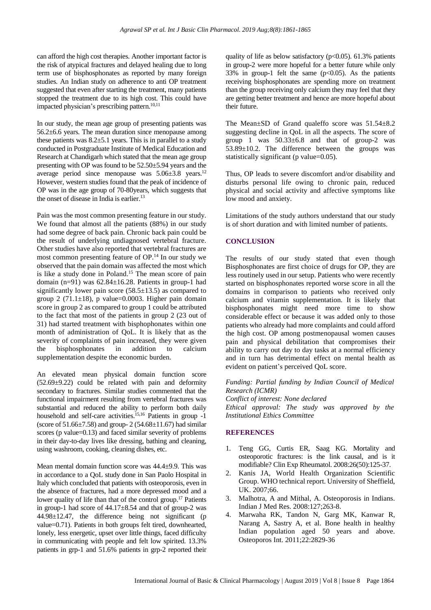can afford the high cost therapies. Another important factor is the risk of atypical fractures and delayed healing due to long term use of bisphosphonates as reported by many foreign studies. An Indian study on adherence to anti OP treatment suggested that even after starting the treatment, many patients stopped the treatment due to its high cost. This could have impacted physician's prescribing pattern.10,11

In our study, the mean age group of presenting patients was 56.2±6.6 years. The mean duration since menopause among these patients was  $8.2 \pm 5.1$  years. This is in parallel to a study conducted in Postgraduate Institute of Medical Education and Research at Chandigarh which stated that the mean age group presenting with OP was found to be 52.50±5.94 years and the average period since menopause was 5.06±3.8 years.<sup>12</sup> However, western studies found that the peak of incidence of OP was in the age group of 70-80years, which suggests that the onset of disease in India is earlier. 13

Pain was the most common presenting feature in our study. We found that almost all the patients (88%) in our study had some degree of back pain. Chronic back pain could be the result of underlying undiagnosed vertebral fracture. Other studies have also reported that vertebral fractures are most common presenting feature of OP. <sup>14</sup> In our study we observed that the pain domain was affected the most which is like a study done in Poland.<sup>15</sup> The mean score of pain domain  $(n=91)$  was  $62.84 \pm 16.28$ . Patients in group-1 had significantly lower pain score  $(58.5\pm 13.5)$  as compared to group 2 (71.1 $\pm$ 18), p value=0.0003. Higher pain domain score in group 2 as compared to group 1 could be attributed to the fact that most of the patients in group 2 (23 out of 31) had started treatment with bisphophonates within one month of administration of QoL. It is likely that as the severity of complaints of pain increased, they were given the bisphosphonates in addition to calcium supplementation despite the economic burden.

An elevated mean physical domain function score  $(52.69\pm9.22)$  could be related with pain and deformity secondary to fractures. Similar studies commented that the functional impairment resulting from vertebral fractures was substantial and reduced the ability to perform both daily household and self-care activities. 15,16 Patients in group -1 (score of  $51.66 \pm 7.58$ ) and group- 2 ( $54.68 \pm 11.67$ ) had similar scores (p value=0.13) and faced similar severity of problems in their day-to-day lives like dressing, bathing and cleaning, using washroom, cooking, cleaning dishes, etc.

Mean mental domain function score was 44.4±9.9. This was in accordance to a QoL study done in San Paolo Hospital in Italy which concluded that patients with osteoporosis, even in the absence of fractures, had a more depressed mood and a lower quality of life than that of the control group.<sup>17</sup> Patients in group-1 had score of 44.17±8.54 and that of group-2 was 44.98±12.47, the difference being not significant (p value=0.71). Patients in both groups felt tired, downhearted, lonely, less energetic, upset over little things, faced difficulty in communicating with people and felt low spirited. 13.3% patients in grp-1 and 51.6% patients in grp-2 reported their quality of life as below satisfactory ( $p<0.05$ ). 61.3% patients in group-2 were more hopeful for a better future while only 33% in group-1 felt the same  $(p<0.05)$ . As the patients receiving bisphosphonates are spending more on treatment than the group receiving only calcium they may feel that they are getting better treatment and hence are more hopeful about their future.

The Mean±SD of Grand qualeffo score was 51.54±8.2 suggesting decline in QoL in all the aspects. The score of group 1 was  $50.33\pm6.8$  and that of group-2 was 53.89±10.2. The difference between the groups was statistically significant (p value=0.05).

Thus, OP leads to severe discomfort and/or disability and disturbs personal life owing to chronic pain, reduced physical and social activity and affective symptoms like low mood and anxiety.

Limitations of the study authors understand that our study is of short duration and with limited number of patients.

#### **CONCLUSION**

The results of our study stated that even though Bisphosphonates are first choice of drugs for OP, they are less routinely used in our setup. Patients who were recently started on bisphosphonates reported worse score in all the domains in comparison to patients who received only calcium and vitamin supplementation. It is likely that bisphosphonates might need more time to show considerable effect or because it was added only to those patients who already had more complaints and could afford the high cost. OP among postmenopausal women causes pain and physical debilitation that compromises their ability to carry out day to day tasks at a normal efficiency and in turn has detrimental effect on mental health as evident on patient's perceived QoL score.

*Funding: Partial funding by Indian Council of Medical Research (ICMR)*

*Conflict of interest: None declared Ethical approval: The study was approved by the Institutional Ethics Committee*

#### **REFERENCES**

- 1. Teng GG, Curtis ER, Saag KG. Mortality and osteoporotic fractures: is the link causal, and is it modifiable? Clin Exp Rheumatol. 2008:26(50):125-37.
- 2. Kanis JA, World Health Organization Scientific Group. WHO technical report. University of Sheffield, UK. 2007;66.
- 3. Malhotra, A and Mithal, A. Osteoporosis in Indians. Indian J Med Res. 2008:127;263-8.
- 4. Marwaha RK, Tandon N, Garg MK, Kanwar R, Narang A, Sastry A, et al. Bone health in healthy Indian population aged 50 years and above. Osteoporos Int. 2011;22:2829-36